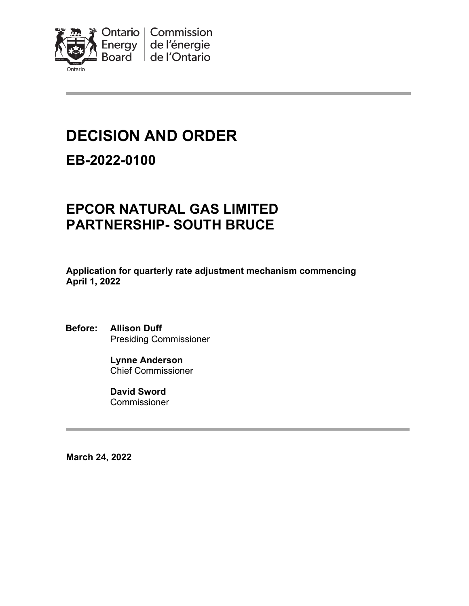

# **DECISION AND ORDER**

## **EB-2022-0100**

# **EPCOR NATURAL GAS LIMITED PARTNERSHIP- SOUTH BRUCE**

**Application for quarterly rate adjustment mechanism commencing April 1, 2022**

**Before: Allison Duff** Presiding Commissioner

> **Lynne Anderson** Chief Commissioner

**David Sword** Commissioner

**March 24, 2022**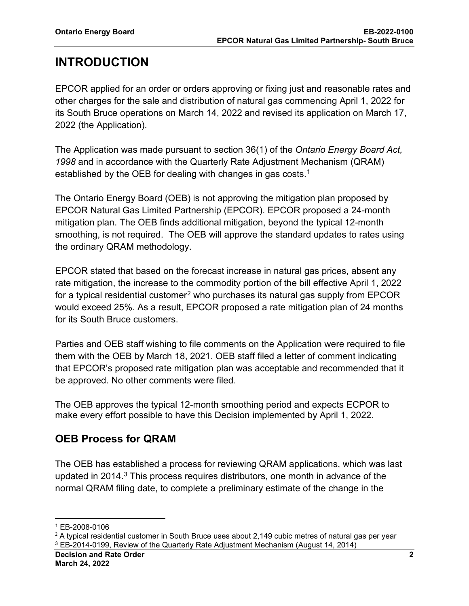# **INTRODUCTION**

EPCOR applied for an order or orders approving or fixing just and reasonable rates and other charges for the sale and distribution of natural gas commencing April 1, 2022 for its South Bruce operations on March 14, 2022 and revised its application on March 17, 2022 (the Application).

The Application was made pursuant to section 36(1) of the *Ontario Energy Board Act, 1998* and in accordance with the Quarterly Rate Adjustment Mechanism (QRAM) established by the OEB for dealing with changes in gas costs. $^{\rm 1}$  $^{\rm 1}$  $^{\rm 1}$ 

The Ontario Energy Board (OEB) is not approving the mitigation plan proposed by EPCOR Natural Gas Limited Partnership (EPCOR). EPCOR proposed a 24-month mitigation plan. The OEB finds additional mitigation, beyond the typical 12-month smoothing, is not required. The OEB will approve the standard updates to rates using the ordinary QRAM methodology.

EPCOR stated that based on the forecast increase in natural gas prices, absent any rate mitigation, the increase to the commodity portion of the bill effective April 1, 2022 for a typical residential customer<sup>[2](#page-1-1)</sup> who purchases its natural gas supply from EPCOR would exceed 25%. As a result, EPCOR proposed a rate mitigation plan of 24 months for its South Bruce customers.

Parties and OEB staff wishing to file comments on the Application were required to file them with the OEB by March 18, 2021. OEB staff filed a letter of comment indicating that EPCOR's proposed rate mitigation plan was acceptable and recommended that it be approved. No other comments were filed.

The OEB approves the typical 12-month smoothing period and expects ECPOR to make every effort possible to have this Decision implemented by April 1, 2022.

### **OEB Process for QRAM**

The OEB has established a process for reviewing QRAM applications, which was last updated in 2014. [3](#page-1-2) This process requires distributors, one month in advance of the normal QRAM filing date, to complete a preliminary estimate of the change in the

<span id="page-1-0"></span><sup>1</sup> EB-2008-0106

<span id="page-1-2"></span><span id="page-1-1"></span> $2$  A typical residential customer in South Bruce uses about 2,149 cubic metres of natural gas per year <sup>3</sup> EB-2014-0199, Review of the Quarterly Rate Adjustment Mechanism (August 14, 2014)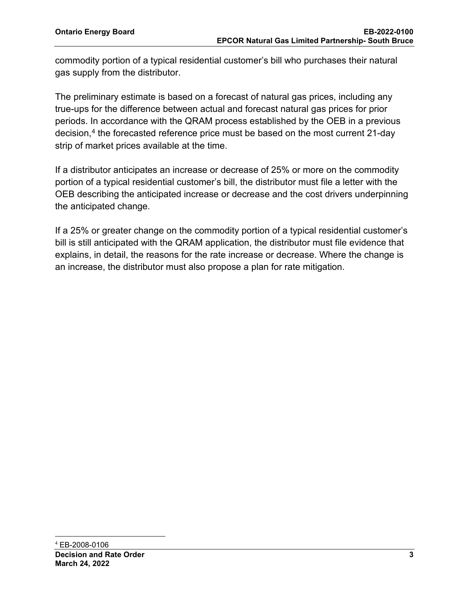commodity portion of a typical residential customer's bill who purchases their natural gas supply from the distributor.

The preliminary estimate is based on a forecast of natural gas prices, including any true-ups for the difference between actual and forecast natural gas prices for prior periods. In accordance with the QRAM process established by the OEB in a previous decision, [4](#page-2-0) the forecasted reference price must be based on the most current 21-day strip of market prices available at the time.

If a distributor anticipates an increase or decrease of 25% or more on the commodity portion of a typical residential customer's bill, the distributor must file a letter with the OEB describing the anticipated increase or decrease and the cost drivers underpinning the anticipated change.

<span id="page-2-0"></span>If a 25% or greater change on the commodity portion of a typical residential customer's bill is still anticipated with the QRAM application, the distributor must file evidence that explains, in detail, the reasons for the rate increase or decrease. Where the change is an increase, the distributor must also propose a plan for rate mitigation.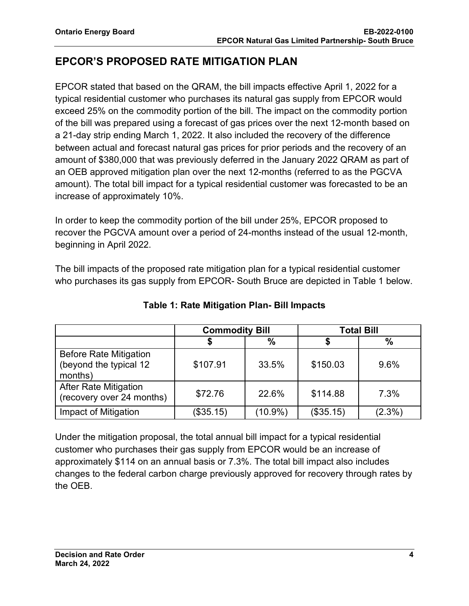#### **EPCOR'S PROPOSED RATE MITIGATION PLAN**

EPCOR stated that based on the QRAM, the bill impacts effective April 1, 2022 for a typical residential customer who purchases its natural gas supply from EPCOR would exceed 25% on the commodity portion of the bill. The impact on the commodity portion of the bill was prepared using a forecast of gas prices over the next 12-month based on a 21-day strip ending March 1, 2022. It also included the recovery of the difference between actual and forecast natural gas prices for prior periods and the recovery of an amount of \$380,000 that was previously deferred in the January 2022 QRAM as part of an OEB approved mitigation plan over the next 12-months (referred to as the PGCVA amount). The total bill impact for a typical residential customer was forecasted to be an increase of approximately 10%.

In order to keep the commodity portion of the bill under 25%, EPCOR proposed to recover the PGCVA amount over a period of 24-months instead of the usual 12-month, beginning in April 2022.

The bill impacts of the proposed rate mitigation plan for a typical residential customer who purchases its gas supply from EPCOR- South Bruce are depicted in Table 1 below.

|                                                                    | <b>Commodity Bill</b> |            | <b>Total Bill</b> |           |
|--------------------------------------------------------------------|-----------------------|------------|-------------------|-----------|
|                                                                    |                       | %          |                   | $\%$      |
| <b>Before Rate Mitigation</b><br>(beyond the typical 12<br>months) | \$107.91              | 33.5%      | \$150.03          | 9.6%      |
| <b>After Rate Mitigation</b><br>(recovery over 24 months)          | \$72.76               | 22.6%      | \$114.88          | 7.3%      |
| Impact of Mitigation                                               | (\$35.15)             | $(10.9\%)$ | (\$35.15)         | $(2.3\%)$ |

**Table 1: Rate Mitigation Plan- Bill Impacts**

Under the mitigation proposal, the total annual bill impact for a typical residential customer who purchases their gas supply from EPCOR would be an increase of approximately \$114 on an annual basis or 7.3%. The total bill impact also includes changes to the federal carbon charge previously approved for recovery through rates by the OEB.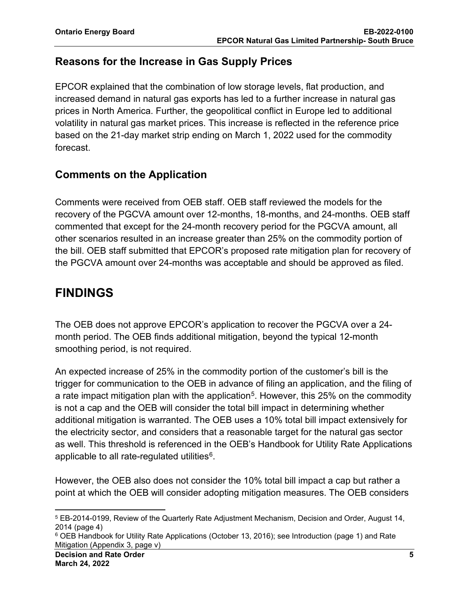#### **Reasons for the Increase in Gas Supply Prices**

EPCOR explained that the combination of low storage levels, flat production, and increased demand in natural gas exports has led to a further increase in natural gas prices in North America. Further, the geopolitical conflict in Europe led to additional volatility in natural gas market prices. This increase is reflected in the reference price based on the 21-day market strip ending on March 1, 2022 used for the commodity forecast.

#### **Comments on the Application**

Comments were received from OEB staff. OEB staff reviewed the models for the recovery of the PGCVA amount over 12-months, 18-months, and 24-months. OEB staff commented that except for the 24-month recovery period for the PGCVA amount, all other scenarios resulted in an increase greater than 25% on the commodity portion of the bill. OEB staff submitted that EPCOR's proposed rate mitigation plan for recovery of the PGCVA amount over 24-months was acceptable and should be approved as filed.

### **FINDINGS**

The OEB does not approve EPCOR's application to recover the PGCVA over a 24 month period. The OEB finds additional mitigation, beyond the typical 12-month smoothing period, is not required.

An expected increase of 25% in the commodity portion of the customer's bill is the trigger for communication to the OEB in advance of filing an application, and the filing of a rate impact mitigation plan with the application<sup>[5](#page-4-0)</sup>. However, this 25% on the commodity is not a cap and the OEB will consider the total bill impact in determining whether additional mitigation is warranted. The OEB uses a 10% total bill impact extensively for the electricity sector, and considers that a reasonable target for the natural gas sector as well. This threshold is referenced in the OEB's Handbook for Utility Rate Applications applicable to all rate-regulated utilities $6$ .

However, the OEB also does not consider the 10% total bill impact a cap but rather a point at which the OEB will consider adopting mitigation measures. The OEB considers

<span id="page-4-0"></span><sup>5</sup> EB-2014-0199, Review of the Quarterly Rate Adjustment Mechanism, Decision and Order, August 14, 2014 (page 4)

<span id="page-4-1"></span><sup>6</sup> OEB Handbook for Utility Rate Applications (October 13, 2016); see Introduction (page 1) and Rate Mitigation (Appendix 3, page v)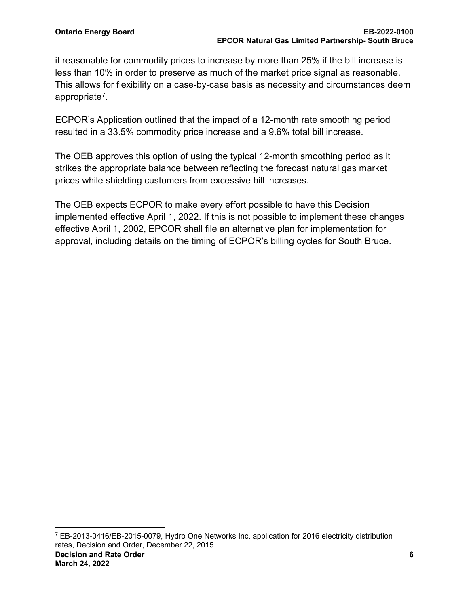it reasonable for commodity prices to increase by more than 25% if the bill increase is less than 10% in order to preserve as much of the market price signal as reasonable. This allows for flexibility on a case-by-case basis as necessity and circumstances deem appropriate[7.](#page-5-0)

ECPOR's Application outlined that the impact of a 12-month rate smoothing period resulted in a 33.5% commodity price increase and a 9.6% total bill increase.

The OEB approves this option of using the typical 12-month smoothing period as it strikes the appropriate balance between reflecting the forecast natural gas market prices while shielding customers from excessive bill increases.

The OEB expects ECPOR to make every effort possible to have this Decision implemented effective April 1, 2022. If this is not possible to implement these changes effective April 1, 2002, EPCOR shall file an alternative plan for implementation for approval, including details on the timing of ECPOR's billing cycles for South Bruce.

<span id="page-5-0"></span><sup>7</sup> EB-2013-0416/EB-2015-0079, Hydro One Networks Inc. application for 2016 electricity distribution rates, Decision and Order, December 22, 2015